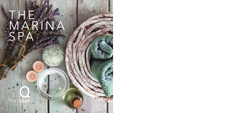# T H N R INA S PA

H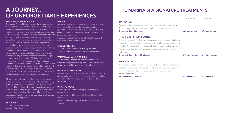## A JOURNEY... OF UNFORGETTABLE EXPERIENCES

#### THE MARINA SPA FORMULA

The Marina Spa and ESPA complete the formula for the most wonderful experiences in sumptuous treatment rooms where every desire and wish can be assured. Rediscover your senses and luxuriate in the ambiance that is the Marina Spa. To ensure your Spa experience is true to you, each treatment will commence with an in-depth consultation to create and adapt a bespoke service to your individual needs. Home-care advice will be given at the end of all treatments to maximise the results of your experience. The Marina Spa exclusively offers you a choice of either a double treatment room perfect for honeymooners, friends and celebrations, or drift away in our spacious single rooms. After your treatment, snuggle up and snooze in our opulent Chill Out room. Enjoy a refreshing drink in our spa juice bar while you take a moment to browse our Spa brochure and find your perfect treatment. Our Spa environment is one of tranquillity and relaxation. Please respect all Spa guests' right to privacy and serenity. Please keep the noise to a minimum when in the Spa, respecting others on their Spa experience.

All our packages include half day use of facilities unless stated otherwise. This includes use of the Chill Out room, Juice Bar, Heated Swimming Pool, Hydrotherapy Pool, Sauna and Steam Room. The morning packages run from 10am to 2pm and the afternoon from 2pm to 6pm. All of our treatments include a 2 hour use of facilities. Spa packages and treatments can be upgraded to full day use at a cost of £20 per person.

#### SPA HOURS

Sunday - Friday 10am - 6pm Saturday 9am - 6pm

#### ARRIVAL

We recommend that you arrive at the Spa Reception a minimum of 15 minutes prior to your scheduled appointment. If you are planning on using the facilities, we recommend that you arrive a minimum of one hour before your treatment.

Please understand that late arrivals will only receive the remainder of their treatment time.

#### MOBILE PHONES

The use of mobile phones is strictly prohibited. This is your time to switch off from the outside world.

#### VALUABLES/ LOST PROPERTY

The Marina Spa accepts no responsibility for loss of valuables and jewellery at any time on the spa premises. Lost property will be stored at the Hotel reception.

#### MEDICAL CONDITIONS

All treatments can be adapted to suit medical conditions. All medical conditions must be stated at time of booking. A doctors note will be required for certain medical conditions.

#### WHAT TO WEAR

Robes, slippers and towels are provided for your convenience. £1 coin is required for use of the Spa and Leisure Club lockers. Lower underwear or dry swimwear must be worn for all treatments.

## THE MARINA SPA SIGNATURE TREATMENTS

|                                                                            | Off Peak        | <b>On Peak</b>  |
|----------------------------------------------------------------------------|-----------------|-----------------|
| <b>TOP TO TOE</b>                                                          |                 |                 |
| An indulgent three in one aromatherapy back, scalp and foot massage.       |                 |                 |
| This treatment is bespoke for your emotional and physical needs.           |                 |                 |
| <b>Treatment time: 50 minutes</b>                                          | £65 per person  | £75 per person  |
| <b>INTENSE DE - STRESS SOOTHER</b>                                         |                 |                 |
| A deeply de-stressing full body massage experience using Aromatherapy      |                 |                 |
| oils designed to eliviate pain and tension from tight, stressed and aching |                 |                 |
| muscles. Combined with a full body exfoliation, deep muscle massage        |                 |                 |
| followed by a Ayurvedic scalp massage to give your body the attention it   |                 |                 |
| truly needs.                                                               |                 |                 |
| Treatment time: 1 hour 30 minutes                                          | £105 per person | £110 per person |

This exclusive treatment for two is carried out in one of our sumptuous double treatment rooms. Choose from either a full body massage or a inner calm facial. Perfect for Honeymooners, anniversaries or a couples special treat.

Treatment time: 50 minutes **E130** for two **£140** for two **£140** for two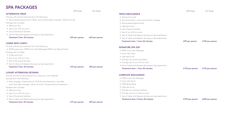## SPA PACKAGES Of Peak On Peak

|                                                                                    | Off Peak       |
|------------------------------------------------------------------------------------|----------------|
| <b>AFTERNOON TREAT</b>                                                             |                |
| Choose a 25 minute treatment from the following:                                   |                |
| • Personalised express facial / Back, neck and shoulder massage / Salt & oil scrub |                |
| Package also includes:                                                             |                |
| • Afternoon Tea                                                                    |                |
| • Use of our chill out room                                                        |                |
| • Use of the leisure facilities                                                    |                |
| • Use of robes and slippers during your Spa experience                             |                |
| <b>Treatment Time: 25 minutes</b>                                                  | £59 per person |
| <b>LADIES WHO LUNCH</b>                                                            |                |
| Choose a 50 minute treatment from the following:                                   |                |

 • ESPA body wrap / ESPA Inner Calm Massage/ ESPA Inner Beauty Facial Package also includes:

• A light spa lunch

- Use of our chill out room
- Use of the leisure facilities
- Use of robes and slippers during your Spa experience

```
 • Treatment Time: 50 minutes £79 per person £89 per person
```
£69 per person

### LUXURY AFTERNOON GETAWAY

Choose two 25 minute treatments to create your own bespoke spa day from the following:

 • Back massage / Express facial / lift & firm eye treatment / shoulder, neck and scalp massage / salt & oil scrub / invigorating foot treatment

Package also includes:

- Afternoon Tea
- Use of our chill out room
- Use of the leisure facilities
- Use of robes and slippers during your Spa experience

Treatment time: 50 minutes **EXP per person** E89 per person E89 per person

#### TRIPLE INDULGENCE

- Salt and oil scrub
- Hot stones back , neck and shoulder massage
- Personalised express facial
- Light spa lunch
- Use of leisure facilities
- Use of our chill out room
- Use of robes and slippers during your Spa experience
- Use of robes and slippers during your Spa experience

Treatment time: 1 hour 20 minutes **E99 per person** E109 per person

### SIGNATURE SPA DAY

- ESPA Inner Calm Massage
- Inner calm facial
- Light spa lunch
- Full day use of leisure facilities
- Full day use of our chill out room
- Use of robes and slippers during your Spa experience

Treatment time: 1 hour 50 minutes **E139** per person **£149** per person

#### COMPLETE INDULGENCE

- ESPA Inner Calm Massage
- Inner calm facial
- ESPA Body Wrap
- Light spa lunch
- Full day use of leisure facilities
- Full day use of our chill out room
- Use of robes and slippers during your Spa experience

Off Peak On Peak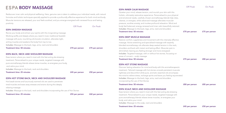## **FSPA BODY MASSAGE** On Peak On Peak On Peak On Peak

Rediscover inner calm and physical wellbeing. Here, genuine care is taken to address your individual needs, with natural formulas and holistic techniques specially applied to provide a profoundly effective experience for both mind and body. Muscular tensions are released, your soul feels soothed, and you emerge energised with renewed focus and lasting positivity

|                                                                                                                                                                                                                                                                                                                                                                                                                                | <b>Off Peak</b> | <b>On Peak</b> |
|--------------------------------------------------------------------------------------------------------------------------------------------------------------------------------------------------------------------------------------------------------------------------------------------------------------------------------------------------------------------------------------------------------------------------------|-----------------|----------------|
| <b>ESPA SWEDISH MASSAGE</b>                                                                                                                                                                                                                                                                                                                                                                                                    |                 |                |
| Revive your body and enliven your spirits with this invigorating massage.                                                                                                                                                                                                                                                                                                                                                      |                 |                |
| $\mathbf{M} = \mathbf{I} \cdot \mathbf{I} + \mathbf{I} \cdot \mathbf{I} + \mathbf{I} + \mathbf{I} + \mathbf{I} + \mathbf{I} + \mathbf{I} + \mathbf{I} + \mathbf{I} + \mathbf{I} + \mathbf{I} + \mathbf{I} + \mathbf{I} + \mathbf{I} + \mathbf{I} + \mathbf{I} + \mathbf{I} + \mathbf{I} + \mathbf{I} + \mathbf{I} + \mathbf{I} + \mathbf{I} + \mathbf{I} + \mathbf{I} + \mathbf{I} + \mathbf{I} + \mathbf{I} + \mathbf{I} + \$ |                 |                |

his invigorating massage. Working swiftly and deeply where you need it most, traditional Swedish massage with pure, nourishing oils boosts circulation, alleviates tight, aching muscles and awakens the body from top to toe. Includes: *Massage to the back, legs, arms, neck and shoulders*

```
Treatment time: 50 minutes E75 per person E75 per person E75 per person
```
### ESPA BACK, NECK AND SHOULDER MASSAGE

Ease tension where you need it most with this fast-acting de-stressing treatment. Personalised to your unique needs, targeted massage with pure aromatherapy blends relaxes tense muscles, re-energises your body, and calms your mind.

Includes: *Massage to the back, neck and shoulders*

Treatment time: 25 minutes **EXEC per person** E50 per person E50 per person

### ESPA HOT STONE BACK, NECK AND SHOULDER MASSAGE

Hot basalt stones and luxuriously warmed oils are used to penetrate tired muscles and ease away stresses and strains during this deeply relaxing massage. Includes: *Massage to the back, neck and shoulders incorporating the use of Hot Stones*

Treatment time: 25 minutes **ESS** per person **£60** per person **£60** per person

#### ESPA INNER CALM MASSAGE

Quieten your mind, release tension, and nourish your skin with this holistic, ultimately restorative experience. Personalised to your physical and emotional needs, carefully chosen aromatherapy blends help relax, cleanse, or energise, while advanced massage alleviates muscular pressure, soothes anxiety, and invokes profound relaxation. Mind and body feel balanced, energy renewed and inner calm beautifully restored. Includes: *Massage to the back, legs, arms, neck and shoulders*

Treatment time: 50 minutes **EXEC per person** EXEC per person EXEC per person E75 per person

#### ESPA DEEP MUSCLE MASSAGE

Restore comfort, suppleness and movement with this intensely effective massage. Active stretching and specialised massage with expertly blended aromatherapy oils alleviate deep-seated tension in the neck, shoulders and back with instant and lasting effect. Muscular pain is diminished, leaving you feeling stronger and more energised. Includes: *Targeted massage, with or without hot stones, focussing on areas of concern – scalp massage*

Treatment time: 50 minutes **EXES** per person **EXES** per person **EXES** per person **EXES** per person

#### ESPA HOT STONE MASSAGE

Discover lasting relaxation for mind and body with this aromatherapeutic treatment. Tailored massage with hot stones unravels persistent muscular tightness and discomfort while pure, aromatic essential oils encompass the mind to relieve stress, recharge spirits and leave you feeling rejuvenated. Includes: *Massage to the back, legs, arms, neck and shoulders incorporating the use of Hot Stones*

Treatment time: 50 minutes **E80 per person** E85 per person E85 per person

#### ESPA SCALP, NECK AND SHOULDER MASSAGE

Ease tension where you need it most with this fast-acting de-stressing treatment. Personalised to your unique needs, targeted massage with pure aromatherapy blends relaxes tense muscles, re-energises your body, and calms your mind.

Includes: *Massage to the scalp, neck and shoulders*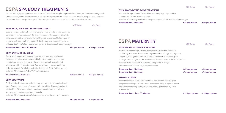### Off Peak On Peak

## ESPA SPA BODY TREATMENTS

Guided entirely by your personal needs, expect instant and long-lasting results from these profoundly renewing rituals. Unique in every sense, they make use of nature's most powerful and effective actives and oils, coupled with innovative techniques from our expert therapists. Your body feels rebalanced, and skin's natural beauty is restored.

### ESPA BACK, FACE AND SCALP TREATMENT

Off Peak On Peak

Unravel tension, instantly boost your complexion and restore inner calm with our most renowned treatment. Targeted massage techniques combine with the purest aromatherapy oils and a highly-personalised facial helping you to look and feel your very best - restored, de-stressed and beautifully radiant. Includes: *Back exfoliation - back massage - Inner beauty facial - scalp massage*

#### Treatment time: 1 hour 20 minutes **E95** per person **£100** per person

#### ESPA SALT AND OIL SCRUB

Revive skin's natural softness and glow with this intensely exfoliating treatment. An ideal way to prepare skin for other treatments, a natural blend of sea salt and the purest oils polishes away dull, dry cells and infuses skin with rich nourishment. Skin feels smooth, supple and looks radiantly healthy. For a light application Exfoliating Body Polish is applied. Includes: *Skin brush - salt & oil full body exfoliation*

#### Treatment time: 25 minutes **E40 per person** E45 per person by the set of the set of the set of the set of the set of the set of the set of the set of the set of the set of the set of the set of the set of the set of the se

#### ESPA BODY WRAP

Purify your body or deeply replenish your skin with this personalised body wrap. Reveal instant results from naturally detoxifying Algae or nourishing Marine Mud. Skin looks refined, toned and beautifully radiant, while a soothing scalp massage restores inner calm. Includes: *Skin brush - body exfoliation - algae or mud wrap - scalp massage*

Treatment time: 50 minutes **E65 per person** E70 per person E70 per person

ESPA INVGORATING FOOT TREATMENT

This revitalising treatment for tired feet and heavy legs helps reduce puffiness and soothe aches and pains. Includes: *A refreshing exfoliation - deeply therapeutic foot and lower leg massage*

Treatment time: 25 minutes **EXEC per person** E40 per person E40 per person

## ESPA MATERNITY<br>Off Peak On Peak

#### ESPA PRE-NATAL RELAX & RESTORE

Nurture your changing body and calm your mind with this beautifully comforting treatment. Personalised to your needs and stage of pregnancy, the purest, most gentle formulas smooth and nourish skin while expert massage soothes tight, tender muscles and invokes a state of blissful relaxation. Includes: *Back exfoliation (if required) - body/scalp massage this treatment is tailored to your specific needs.*

| Treatment time: 25 minutes | £45 per person | £50 per person |
|----------------------------|----------------|----------------|
| Treatment time: 50 minutes | £70 per person | £75 per person |

#### YUMMY MUMMY

Perfect for Mother to be's, this treatment is tailored to each stage of pregnancy working on all main areas of concern. Enjoy our pre and post natal treatment incorporating a full body massage followed by a skin radiance facial.

Treatment time: 1 hour 50 minutes **E125** per person **£130** per person **£130** per person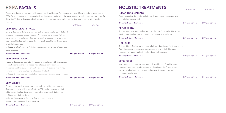## ESPA FACIALS **HOLISTIC TREATMENTS**

Reveal skin that glows each day with natural health and beauty. By assessing your skin, lifestyle, and wellbeing needs, our ESPA Experts create a truly personalised, results-focused facial using the latest innovative techniques with our powerful Tri-Active™ blends. Results are both instant and long-lasting - skin looks clear, radiant, and inner calm is blissfully restored.

Off Peak On Peak

### ESPA INNER BEAUTY FACIAL

Deeply cleanse, hydrate, and renew with this instant results facial. Tailored to your skin's precise needs, Tri-Active™ formulas work immediately to transform your complexion while pure aromatherapeutic oils encompass your mind. Skin looks clear, quenched, naturally beautiful, and inner calm is blissfully restored.

Includes: *Triple cleanse - exfoliation - facial massage - personalised mask scalp massage*

| Treatment time: 50 minutes |  |  |  |
|----------------------------|--|--|--|
|----------------------------|--|--|--|

 $£65$  per person  $£70$  per person

### ESPA EXPRESS FACIAL

Reveal a clear, refreshed, naturally beautiful complexion with this express facial. Personalised to your needs, natural active formulas cleanse, rebalance and hydrate while aromatic essential oils capture your mind, leaving you looking and feeling relaxed and radiant. Includes: *Double cleanse - exfoliation - personalised mask - scalp massage*

Treatment time: 50 minutes **E45 per person** E50 per person E50 per person

#### ESPA EYE LIFT

Smooth, firm, and hydrate with this instantly revitalising eye treatment. Targeted massage with proven Tri-Active™ formulas relaxes the mind while smoothing fine lines, quenching delicate skin, and diminishing puffiness and dark shadows. Includes: *Cleanse - exfoliation to face and eye contour -*

*eye contour massage - firming eye mask*

|                                                                                 | Off Peak       | <b>On Peak</b> |
|---------------------------------------------------------------------------------|----------------|----------------|
| <b>INDIAN HEAD MASSAGE</b>                                                      |                |                |
| Based on ancient Ayurvedic techniques, this treatment releases tension          |                |                |
| and rebalances the mind.                                                        |                |                |
| <b>Treatment time: 25 minutes</b>                                               | £45 per person | £50 per person |
| <b>REFLEXOLOGY</b>                                                              |                |                |
| This ancient therapy on the feet supports the body's natural ability to heal    |                |                |
| itself, promoting harmony and helping to balance energy levels.                 |                |                |
| <b>Treatment time: 50 minutes</b>                                               | £65 per person | £70 per person |
| <b>HOPI EARS</b>                                                                |                |                |
| This traditional Ancient Indian therapy helps to draw impurities from the ears. |                |                |
| Combined with a pressure point massage to the occipital, this gentle            |                |                |
| treatment will leave you feeling relaxed and well balanced.                     |                |                |
| <b>Treatment time: 30 minutes</b>                                               | £40 per person | £45 per person |
| <b>SINUS RELIEF</b>                                                             |                |                |
| Incorporating our Hopi ear treatment followed by our lift and firm eye          |                |                |
| treatment, this treatment is designed to draw impurities from the ears          |                |                |
| alongside relieving sinus pressure and tension from eye strain and              |                |                |
| computer headaches.                                                             |                |                |
| <b>Treatment time: 50 minutes</b>                                               | £60 per person | £65 per person |
|                                                                                 |                |                |